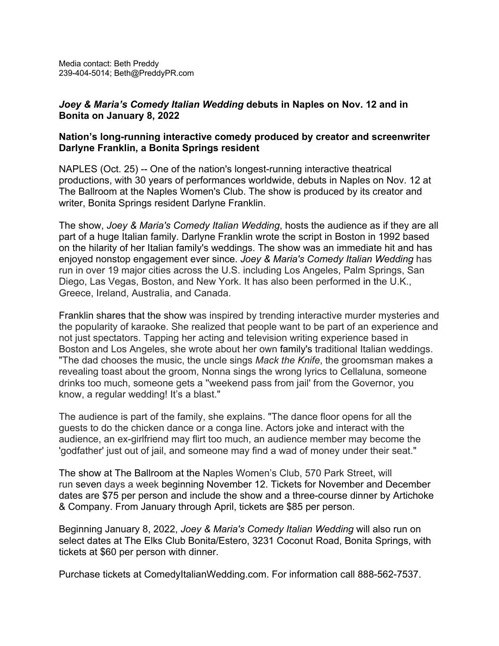## *Joey & Maria's Comedy Italian Wedding* **debuts in Naples on Nov. 12 and in Bonita on January 8, 2022**

## **Nation's long-running interactive comedy produced by creator and screenwriter Darlyne Franklin, a Bonita Springs resident**

NAPLES (Oct. 25) -- One of the nation's longest-running interactive theatrical productions, with 30 years of performances worldwide, debuts in Naples on Nov. 12 at The Ballroom at the Naples Women's Club. The show is produced by its creator and writer, Bonita Springs resident Darlyne Franklin.

The show, *Joey & Maria's Comedy Italian Wedding*, hosts the audience as if they are all part of a huge Italian family. Darlyne Franklin wrote the script in Boston in 1992 based on the hilarity of her Italian family's weddings. The show was an immediate hit and has enjoyed nonstop engagement ever since. *Joey & Maria's Comedy Italian Wedding* has run in over 19 major cities across the U.S. including Los Angeles, Palm Springs, San Diego, Las Vegas, Boston, and New York. It has also been performed in the U.K., Greece, Ireland, Australia, and Canada.

Franklin shares that the show was inspired by trending interactive murder mysteries and the popularity of karaoke. She realized that people want to be part of an experience and not just spectators. Tapping her acting and television writing experience based in Boston and Los Angeles, she wrote about her own family's traditional Italian weddings. "The dad chooses the music, the uncle sings *Mack the Knife*, the groomsman makes a revealing toast about the groom, Nonna sings the wrong lyrics to Cellaluna, someone drinks too much, someone gets a ''weekend pass from jail' from the Governor, you know, a regular wedding! It's a blast."

The audience is part of the family, she explains. "The dance floor opens for all the guests to do the chicken dance or a conga line. Actors joke and interact with the audience, an ex-girlfriend may flirt too much, an audience member may become the 'godfather' just out of jail, and someone may find a wad of money under their seat."

The show at The Ballroom at the Naples Women's Club, 570 Park Street, will run seven days a week beginning November 12. Tickets for November and December dates are \$75 per person and include the show and a three-course dinner by Artichoke & Company. From January through April, tickets are \$85 per person.

Beginning January 8, 2022, *Joey & Maria's Comedy Italian Wedding* will also run on select dates at The Elks Club Bonita/Estero, 3231 Coconut Road, Bonita Springs, with tickets at \$60 per person with dinner.

Purchase tickets at ComedyItalianWedding.com. For information call 888-562-7537.